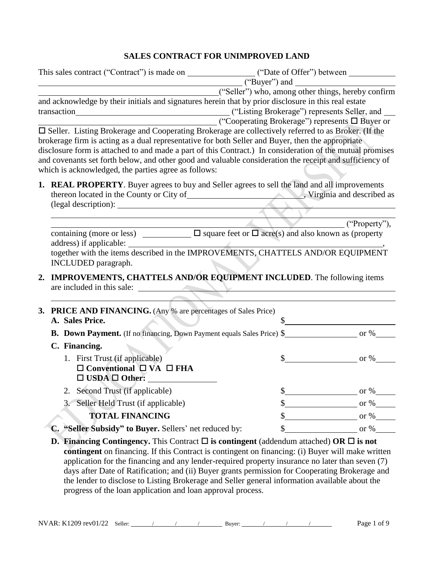# **SALES CONTRACT FOR UNIMPROVED LAND**

| This sales contract ("Contract") is made on ____________________("Date of Offer") between ____________________                                                                                                                                                                                                                                                                                                                                                                                                                                                                                     |                                                                                                         |                                                         |
|----------------------------------------------------------------------------------------------------------------------------------------------------------------------------------------------------------------------------------------------------------------------------------------------------------------------------------------------------------------------------------------------------------------------------------------------------------------------------------------------------------------------------------------------------------------------------------------------------|---------------------------------------------------------------------------------------------------------|---------------------------------------------------------|
|                                                                                                                                                                                                                                                                                                                                                                                                                                                                                                                                                                                                    | $($ "Buyer") and $\qquad$                                                                               |                                                         |
| and acknowledge by their initials and signatures herein that by prior disclosure in this real estate<br>□ Seller. Listing Brokerage and Cooperating Brokerage are collectively referred to as Broker. (If the<br>brokerage firm is acting as a dual representative for both Seller and Buyer, then the appropriate<br>disclosure form is attached to and made a part of this Contract.) In consideration of the mutual promises<br>and covenants set forth below, and other good and valuable consideration the receipt and sufficiency of<br>which is acknowledged, the parties agree as follows: | ("Seller") who, among other things, hereby confirm<br>∟ ("Cooperating Brokerage") represents □ Buyer or |                                                         |
| 1. REAL PROPERTY. Buyer agrees to buy and Seller agrees to sell the land and all improvements                                                                                                                                                                                                                                                                                                                                                                                                                                                                                                      |                                                                                                         |                                                         |
|                                                                                                                                                                                                                                                                                                                                                                                                                                                                                                                                                                                                    |                                                                                                         | ("Property"),                                           |
| together with the items described in the IMPROVEMENTS, CHATTELS AND/OR EQUIPMENT<br>INCLUDED paragraph.<br>IMPROVEMENTS, CHATTELS AND/OR EQUIPMENT INCLUDED. The following items<br>2.<br>are included in this sale:                                                                                                                                                                                                                                                                                                                                                                               |                                                                                                         |                                                         |
| <b>PRICE AND FINANCING.</b> (Any % are percentages of Sales Price)<br>3.<br>A. Sales Price.                                                                                                                                                                                                                                                                                                                                                                                                                                                                                                        |                                                                                                         |                                                         |
|                                                                                                                                                                                                                                                                                                                                                                                                                                                                                                                                                                                                    |                                                                                                         |                                                         |
| C. Financing.                                                                                                                                                                                                                                                                                                                                                                                                                                                                                                                                                                                      |                                                                                                         |                                                         |
| 1. First Trust (if applicable)<br>$\Box$ Conventional $\Box$ VA $\Box$ FHA<br>$\Box$ USDA $\Box$ Other:                                                                                                                                                                                                                                                                                                                                                                                                                                                                                            |                                                                                                         | $\frac{\text{S}}{\text{S}}$ or %                        |
| 2. Second Trust (if applicable)                                                                                                                                                                                                                                                                                                                                                                                                                                                                                                                                                                    |                                                                                                         |                                                         |
| Seller Held Trust (if applicable)<br>3.                                                                                                                                                                                                                                                                                                                                                                                                                                                                                                                                                            |                                                                                                         | $\frac{\text{S}}{\text{S}}$ or %                        |
| <b>TOTAL FINANCING</b>                                                                                                                                                                                                                                                                                                                                                                                                                                                                                                                                                                             | \$                                                                                                      | $\frac{1}{\sqrt{1-\frac{1}{2}}}\text{ or } \frac{1}{2}$ |
| C. "Seller Subsidy" to Buyer. Sellers' net reduced by:                                                                                                                                                                                                                                                                                                                                                                                                                                                                                                                                             | \$                                                                                                      | $\sigma$ or %                                           |
| <b>D. Financing Contingency.</b> This Contract $\Box$ is contingent (addendum attached) OR $\Box$ is not<br>contingent on financing. If this Contract is contingent on financing: (i) Buyer will make written                                                                                                                                                                                                                                                                                                                                                                                      |                                                                                                         |                                                         |

application for the financing and any lender-required property insurance no later than seven (7) days after Date of Ratification; and (ii) Buyer grants permission for Cooperating Brokerage and the lender to disclose to Listing Brokerage and Seller general information available about the progress of the loan application and loan approval process.

NVAR: K1209 rev01/22 Seller: / / / Buyer: / / / / / Page 1 of 9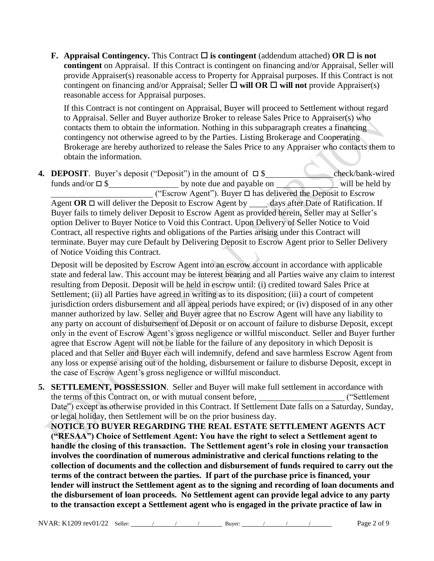**F.** Appraisal Contingency. This Contract  $\Box$  is contingent (addendum attached) OR  $\Box$  is not **contingent** on Appraisal. If this Contract is contingent on financing and/or Appraisal, Seller will provide Appraiser(s) reasonable access to Property for Appraisal purposes. If this Contract is not contingent on financing and/or Appraisal; Seller  $\Box$  will OR  $\Box$  will not provide Appraiser(s) reasonable access for Appraisal purposes.

If this Contract is not contingent on Appraisal, Buyer will proceed to Settlement without regard to Appraisal. Seller and Buyer authorize Broker to release Sales Price to Appraiser(s) who contacts them to obtain the information. Nothing in this subparagraph creates a financing contingency not otherwise agreed to by the Parties. Listing Brokerage and Cooperating Brokerage are hereby authorized to release the Sales Price to any Appraiser who contacts them to obtain the information.

**4. DEPOSIT**. Buyer's deposit ("Deposit") in the amount of  $\Box$  \$ check/bank-wired funds and/or  $\square$  \$ by note due and payable on will be held by  $\overline{\phantom{a}}$  ("Escrow Agent"). Buyer  $\Box$  has delivered the Deposit to Escrow Agent  $OR \square$  will deliver the Deposit to Escrow Agent by days after Date of Ratification. If Buyer fails to timely deliver Deposit to Escrow Agent as provided herein, Seller may at Seller's option Deliver to Buyer Notice to Void this Contract. Upon Delivery of Seller Notice to Void Contract, all respective rights and obligations of the Parties arising under this Contract will terminate. Buyer may cure Default by Delivering Deposit to Escrow Agent prior to Seller Delivery of Notice Voiding this Contract.

Deposit will be deposited by Escrow Agent into an escrow account in accordance with applicable state and federal law. This account may be interest bearing and all Parties waive any claim to interest resulting from Deposit. Deposit will be held in escrow until: (i) credited toward Sales Price at Settlement; (ii) all Parties have agreed in writing as to its disposition; (iii) a court of competent jurisdiction orders disbursement and all appeal periods have expired; or (iv) disposed of in any other manner authorized by law. Seller and Buyer agree that no Escrow Agent will have any liability to any party on account of disbursement of Deposit or on account of failure to disburse Deposit, except only in the event of Escrow Agent's gross negligence or willful misconduct. Seller and Buyer further agree that Escrow Agent will not be liable for the failure of any depository in which Deposit is placed and that Seller and Buyer each will indemnify, defend and save harmless Escrow Agent from any loss or expense arising out of the holding, disbursement or failure to disburse Deposit, except in the case of Escrow Agent's gross negligence or willful misconduct.

- **5. SETTLEMENT, POSSESSION**. Seller and Buyer will make full settlement in accordance with the terms of this Contract on, or with mutual consent before, ("Settlement Date") except as otherwise provided in this Contract. If Settlement Date falls on a Saturday, Sunday, or legal holiday, then Settlement will be on the prior business day.
	- **NOTICE TO BUYER REGARDING THE REAL ESTATE SETTLEMENT AGENTS ACT ("RESAA") Choice of Settlement Agent: You have the right to select a Settlement agent to handle the closing of this transaction. The Settlement agent's role in closing your transaction involves the coordination of numerous administrative and clerical functions relating to the collection of documents and the collection and disbursement of funds required to carry out the terms of the contract between the parties. If part of the purchase price is financed, your lender will instruct the Settlement agent as to the signing and recording of loan documents and the disbursement of loan proceeds. No Settlement agent can provide legal advice to any party to the transaction except a Settlement agent who is engaged in the private practice of law in**

NVAR: K1209 rev01/22 Seller: / / / Buyer: / / / / Page 2 of 9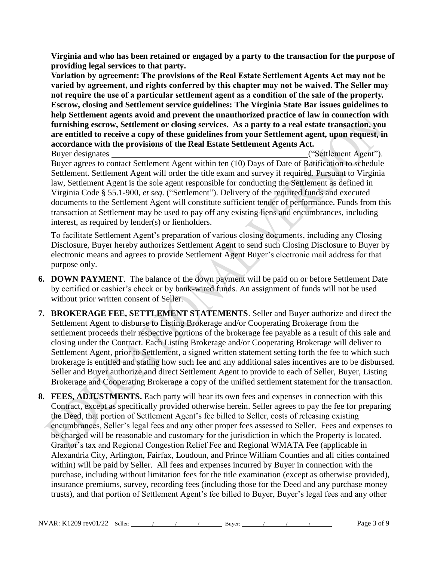**Virginia and who has been retained or engaged by a party to the transaction for the purpose of providing legal services to that party.** 

**Variation by agreement: The provisions of the Real Estate Settlement Agents Act may not be varied by agreement, and rights conferred by this chapter may not be waived. The Seller may not require the use of a particular settlement agent as a condition of the sale of the property. Escrow, closing and Settlement service guidelines: The Virginia State Bar issues guidelines to help Settlement agents avoid and prevent the unauthorized practice of law in connection with furnishing escrow, Settlement or closing services. As a party to a real estate transaction, you are entitled to receive a copy of these guidelines from your Settlement agent, upon request, in accordance with the provisions of the Real Estate Settlement Agents Act.**

Buyer designates ("Settlement Agent"). Buyer agrees to contact Settlement Agent within ten (10) Days of Date of Ratification to schedule Settlement. Settlement Agent will order the title exam and survey if required. Pursuant to Virginia law, Settlement Agent is the sole agent responsible for conducting the Settlement as defined in Virginia Code § 55.1-900, *et seq*. ("Settlement"). Delivery of the required funds and executed documents to the Settlement Agent will constitute sufficient tender of performance. Funds from this transaction at Settlement may be used to pay off any existing liens and encumbrances, including interest, as required by lender(s) or lienholders.

To facilitate Settlement Agent's preparation of various closing documents, including any Closing Disclosure, Buyer hereby authorizes Settlement Agent to send such Closing Disclosure to Buyer by electronic means and agrees to provide Settlement Agent Buyer's electronic mail address for that purpose only.

- **6. DOWN PAYMENT**. The balance of the down payment will be paid on or before Settlement Date by certified or cashier's check or by bank-wired funds. An assignment of funds will not be used without prior written consent of Seller.
- **7. BROKERAGE FEE, SETTLEMENT STATEMENTS**. Seller and Buyer authorize and direct the Settlement Agent to disburse to Listing Brokerage and/or Cooperating Brokerage from the settlement proceeds their respective portions of the brokerage fee payable as a result of this sale and closing under the Contract. Each Listing Brokerage and/or Cooperating Brokerage will deliver to Settlement Agent, prior to Settlement, a signed written statement setting forth the fee to which such brokerage is entitled and stating how such fee and any additional sales incentives are to be disbursed. Seller and Buyer authorize and direct Settlement Agent to provide to each of Seller, Buyer, Listing Brokerage and Cooperating Brokerage a copy of the unified settlement statement for the transaction.
- **8. FEES, ADJUSTMENTS.** Each party will bear its own fees and expenses in connection with this Contract, except as specifically provided otherwise herein. Seller agrees to pay the fee for preparing the Deed, that portion of Settlement Agent's fee billed to Seller, costs of releasing existing encumbrances, Seller's legal fees and any other proper fees assessed to Seller. Fees and expenses to be charged will be reasonable and customary for the jurisdiction in which the Property is located. Grantor's tax and Regional Congestion Relief Fee and Regional WMATA Fee (applicable in Alexandria City, Arlington, Fairfax, Loudoun, and Prince William Counties and all cities contained within) will be paid by Seller. All fees and expenses incurred by Buyer in connection with the purchase, including without limitation fees for the title examination (except as otherwise provided), insurance premiums, survey, recording fees (including those for the Deed and any purchase money trusts), and that portion of Settlement Agent's fee billed to Buyer, Buyer's legal fees and any other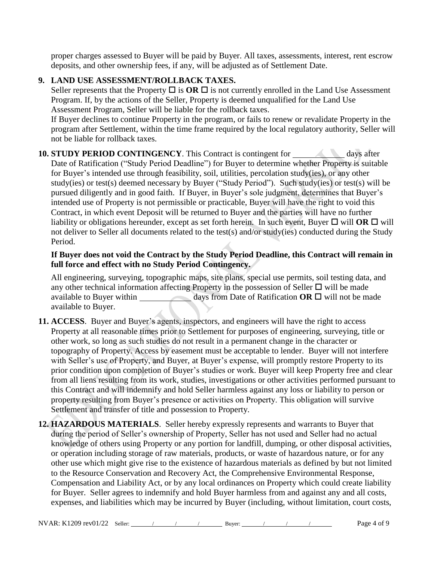proper charges assessed to Buyer will be paid by Buyer. All taxes, assessments, interest, rent escrow deposits, and other ownership fees, if any, will be adjusted as of Settlement Date.

# **9. LAND USE ASSESSMENT/ROLLBACK TAXES.**

Seller represents that the Property  $\Box$  is  $\overline{OR} \Box$  is not currently enrolled in the Land Use Assessment Program. If, by the actions of the Seller, Property is deemed unqualified for the Land Use Assessment Program, Seller will be liable for the rollback taxes.

If Buyer declines to continue Property in the program, or fails to renew or revalidate Property in the program after Settlement, within the time frame required by the local regulatory authority, Seller will not be liable for rollback taxes.

#### **10. STUDY PERIOD CONTINGENCY**. This Contract is contingent for days after Date of Ratification ("Study Period Deadline") for Buyer to determine whether Property is suitable for Buyer's intended use through feasibility, soil, utilities, percolation study(ies), or any other study(ies) or test(s) deemed necessary by Buyer ("Study Period"). Such study(ies) or test(s) will be pursued diligently and in good faith. If Buyer, in Buyer's sole judgment, determines that Buyer's intended use of Property is not permissible or practicable, Buyer will have the right to void this Contract, in which event Deposit will be returned to Buyer and the parties will have no further liability or obligations hereunder, except as set forth herein. In such event, Buyer  $\Box$  will OR  $\Box$  will not deliver to Seller all documents related to the test(s) and/or study(ies) conducted during the Study Period.

# **If Buyer does not void the Contract by the Study Period Deadline, this Contract will remain in full force and effect with no Study Period Contingency.**

All engineering, surveying, topographic maps, site plans, special use permits, soil testing data, and any other technical information affecting Property in the possession of Seller  $\Box$  will be made available to Buyer within days from Date of Ratification  $OR \Box$  will not be made available to Buyer.

- **11. ACCESS**. Buyer and Buyer's agents, inspectors, and engineers will have the right to access Property at all reasonable times prior to Settlement for purposes of engineering, surveying, title or other work, so long as such studies do not result in a permanent change in the character or topography of Property. Access by easement must be acceptable to lender. Buyer will not interfere with Seller's use of Property, and Buyer, at Buyer's expense, will promptly restore Property to its prior condition upon completion of Buyer's studies or work. Buyer will keep Property free and clear from all liens resulting from its work, studies, investigations or other activities performed pursuant to this Contract and will indemnify and hold Seller harmless against any loss or liability to person or property resulting from Buyer's presence or activities on Property. This obligation will survive Settlement and transfer of title and possession to Property.
- **12. HAZARDOUS MATERIALS**. Seller hereby expressly represents and warrants to Buyer that during the period of Seller's ownership of Property, Seller has not used and Seller had no actual knowledge of others using Property or any portion for landfill, dumping, or other disposal activities, or operation including storage of raw materials, products, or waste of hazardous nature, or for any other use which might give rise to the existence of hazardous materials as defined by but not limited to the Resource Conservation and Recovery Act, the Comprehensive Environmental Response, Compensation and Liability Act, or by any local ordinances on Property which could create liability for Buyer. Seller agrees to indemnify and hold Buyer harmless from and against any and all costs, expenses, and liabilities which may be incurred by Buyer (including, without limitation, court costs,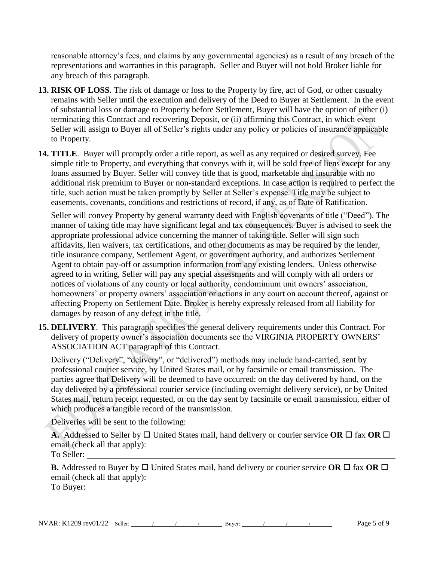reasonable attorney's fees, and claims by any governmental agencies) as a result of any breach of the representations and warranties in this paragraph. Seller and Buyer will not hold Broker liable for any breach of this paragraph.

- **13. RISK OF LOSS**. The risk of damage or loss to the Property by fire, act of God, or other casualty remains with Seller until the execution and delivery of the Deed to Buyer at Settlement. In the event of substantial loss or damage to Property before Settlement, Buyer will have the option of either (i) terminating this Contract and recovering Deposit, or (ii) affirming this Contract, in which event Seller will assign to Buyer all of Seller's rights under any policy or policies of insurance applicable to Property.
- **14. TITLE**. Buyer will promptly order a title report, as well as any required or desired survey. Fee simple title to Property, and everything that conveys with it, will be sold free of liens except for any loans assumed by Buyer. Seller will convey title that is good, marketable and insurable with no additional risk premium to Buyer or non-standard exceptions. In case action is required to perfect the title, such action must be taken promptly by Seller at Seller's expense. Title may be subject to easements, covenants, conditions and restrictions of record, if any, as of Date of Ratification.

Seller will convey Property by general warranty deed with English covenants of title ("Deed"). The manner of taking title may have significant legal and tax consequences. Buyer is advised to seek the appropriate professional advice concerning the manner of taking title. Seller will sign such affidavits, lien waivers, tax certifications, and other documents as may be required by the lender, title insurance company, Settlement Agent, or government authority, and authorizes Settlement Agent to obtain pay-off or assumption information from any existing lenders. Unless otherwise agreed to in writing, Seller will pay any special assessments and will comply with all orders or notices of violations of any county or local authority, condominium unit owners' association, homeowners' or property owners' association or actions in any court on account thereof, against or affecting Property on Settlement Date. Broker is hereby expressly released from all liability for damages by reason of any defect in the title.

**15. DELIVERY**. This paragraph specifies the general delivery requirements under this Contract. For delivery of property owner's association documents see the VIRGINIA PROPERTY OWNERS' ASSOCIATION ACT paragraph of this Contract.

Delivery ("Delivery", "delivery", or "delivered") methods may include hand-carried, sent by professional courier service, by United States mail, or by facsimile or email transmission. The parties agree that Delivery will be deemed to have occurred: on the day delivered by hand, on the day delivered by a professional courier service (including overnight delivery service), or by United States mail, return receipt requested, or on the day sent by facsimile or email transmission, either of which produces a tangible record of the transmission.

Deliveries will be sent to the following:

**A.** Addressed to Seller by  $\Box$  United States mail, hand delivery or courier service **OR**  $\Box$  fax **OR**  $\Box$ email (check all that apply):

To Seller:

**B.** Addressed to Buyer by  $\Box$  United States mail, hand delivery or courier service OR  $\Box$  fax OR  $\Box$ email (check all that apply): To Buyer: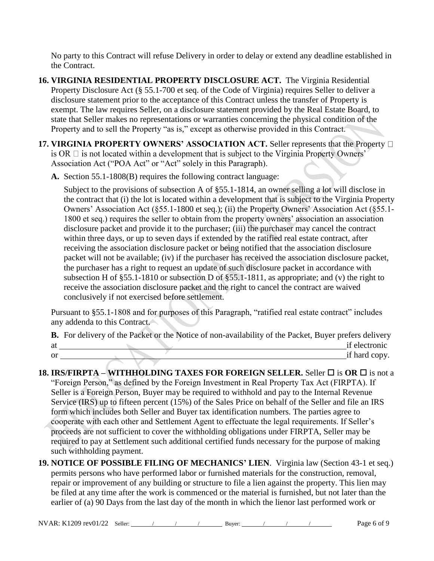No party to this Contract will refuse Delivery in order to delay or extend any deadline established in the Contract.

- **16. VIRGINIA RESIDENTIAL PROPERTY DISCLOSURE ACT.** The Virginia Residential Property Disclosure Act [\(§ 55.1-700 et seq. of the Code of Virginia\)](https://law.lis.virginia.gov/vacode/title55.1/chapter7/) requires Seller to deliver a disclosure statement prior to the acceptance of this Contract unless the transfer of Property is exempt. The law requires Seller, on a disclosure statement provided by the Real Estate Board, to state that Seller makes no representations or warranties concerning the physical condition of the Property and to sell the Property "as is," except as otherwise provided in this Contract.
- **17. VIRGINIA PROPERTY OWNERS' ASSOCIATION ACT.** Seller represents that the Property  $\Box$ is OR  $\Box$  is not located within a development that is subject to the Virginia Property Owners' Association Act ("POA Act" or "Act" solely in this Paragraph).
	- **A.** Section 55.1-1808(B) requires the following contract language:

Subject to the provisions of subsection A of §55.1-1814, an owner selling a lot will disclose in the contract that (i) the lot is located within a development that is subject to the Virginia Property Owners' Association Act (§55.1-1800 et seq.); (ii) the Property Owners' Association Act (§55.1- 1800 et seq.) requires the seller to obtain from the property owners' association an association disclosure packet and provide it to the purchaser; (iii) the purchaser may cancel the contract within three days, or up to seven days if extended by the ratified real estate contract, after receiving the association disclosure packet or being notified that the association disclosure packet will not be available; (iv) if the purchaser has received the association disclosure packet, the purchaser has a right to request an update of such disclosure packet in accordance with subsection H of §55.1-1810 or subsection D of §55.1-1811, as appropriate; and (v) the right to receive the association disclosure packet and the right to cancel the contract are waived conclusively if not exercised before settlement.

Pursuant to §55.1-1808 and for purposes of this Paragraph, "ratified real estate contract" includes any addenda to this Contract.

|               | <b>B.</b> For delivery of the Packet or the Notice of non-availability of the Packet, Buyer prefers delivery |               |
|---------------|--------------------------------------------------------------------------------------------------------------|---------------|
| at            |                                                                                                              | if electronic |
| <sub>or</sub> |                                                                                                              | if hard copy. |

- **18. IRS/FIRPTA – WITHHOLDING TAXES FOR FOREIGN SELLER.** Seller is **OR**  is not a "Foreign Person," as defined by the Foreign Investment in Real Property Tax Act (FIRPTA). If Seller is a Foreign Person, Buyer may be required to withhold and pay to the Internal Revenue Service (IRS) up to fifteen percent (15%) of the Sales Price on behalf of the Seller and file an IRS form which includes both Seller and Buyer tax identification numbers. The parties agree to cooperate with each other and Settlement Agent to effectuate the legal requirements. If Seller's proceeds are not sufficient to cover the withholding obligations under FIRPTA, Seller may be required to pay at Settlement such additional certified funds necessary for the purpose of making such withholding payment.
- **19. NOTICE OF POSSIBLE FILING OF MECHANICS' LIEN**. Virginia law (Section 43-1 et seq.) permits persons who have performed labor or furnished materials for the construction, removal, repair or improvement of any building or structure to file a lien against the property. This lien may be filed at any time after the work is commenced or the material is furnished, but not later than the earlier of (a) 90 Days from the last day of the month in which the lienor last performed work or

NVAR: K1209 rev01/22 Seller:  $/$  / Buyer:  $/$  /  $/$  Page 6 of 9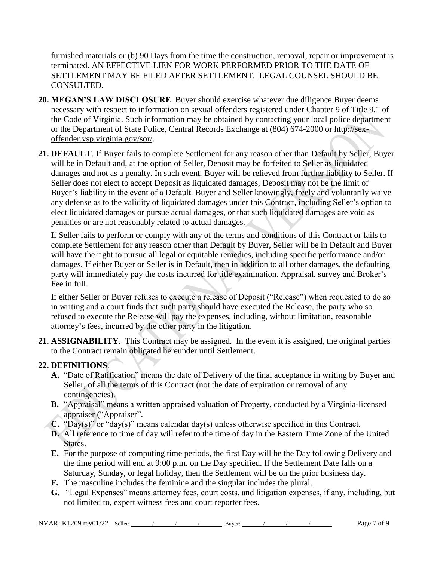furnished materials or (b) 90 Days from the time the construction, removal, repair or improvement is terminated. AN EFFECTIVE LIEN FOR WORK PERFORMED PRIOR TO THE DATE OF SETTLEMENT MAY BE FILED AFTER SETTLEMENT. LEGAL COUNSEL SHOULD BE CONSULTED.

- **20. MEGAN'S LAW DISCLOSURE**. Buyer should exercise whatever due diligence Buyer deems necessary with respect to information on sexual offenders registered under Chapter 9 of Title 9.1 of the Code of Virginia. Such information may be obtained by contacting your local police department or the Department of State Police, Central Records Exchange at (804) 674-2000 or http://sexoffender.vsp.virginia.gov/sor/.
- **21. DEFAULT**. If Buyer fails to complete Settlement for any reason other than Default by Seller, Buyer will be in Default and, at the option of Seller, Deposit may be forfeited to Seller as liquidated damages and not as a penalty. In such event, Buyer will be relieved from further liability to Seller. If Seller does not elect to accept Deposit as liquidated damages, Deposit may not be the limit of Buyer's liability in the event of a Default. Buyer and Seller knowingly, freely and voluntarily waive any defense as to the validity of liquidated damages under this Contract, including Seller's option to elect liquidated damages or pursue actual damages, or that such liquidated damages are void as penalties or are not reasonably related to actual damages.

If Seller fails to perform or comply with any of the terms and conditions of this Contract or fails to complete Settlement for any reason other than Default by Buyer, Seller will be in Default and Buyer will have the right to pursue all legal or equitable remedies, including specific performance and/or damages. If either Buyer or Seller is in Default, then in addition to all other damages, the defaulting party will immediately pay the costs incurred for title examination, Appraisal, survey and Broker's Fee in full.

If either Seller or Buyer refuses to execute a release of Deposit ("Release") when requested to do so in writing and a court finds that such party should have executed the Release, the party who so refused to execute the Release will pay the expenses, including, without limitation, reasonable attorney's fees, incurred by the other party in the litigation.

**21. ASSIGNABILITY**. This Contract may be assigned. In the event it is assigned, the original parties to the Contract remain obligated hereunder until Settlement.

# **22. DEFINITIONS**.

- **A.** "Date of Ratification" means the date of Delivery of the final acceptance in writing by Buyer and Seller, of all the terms of this Contract (not the date of expiration or removal of any contingencies).
- **B.** "Appraisal" means a written appraised valuation of Property, conducted by a Virginia-licensed appraiser ("Appraiser".
- **C.** "Day(s)" or "day(s)" means calendar day(s) unless otherwise specified in this Contract.
- **D.** All reference to time of day will refer to the time of day in the Eastern Time Zone of the United States.
- **E.** For the purpose of computing time periods, the first Day will be the Day following Delivery and the time period will end at 9:00 p.m. on the Day specified. If the Settlement Date falls on a Saturday, Sunday, or legal holiday, then the Settlement will be on the prior business day.
- **F.** The masculine includes the feminine and the singular includes the plural.
- **G.** "Legal Expenses" means attorney fees, court costs, and litigation expenses, if any, including, but not limited to, expert witness fees and court reporter fees.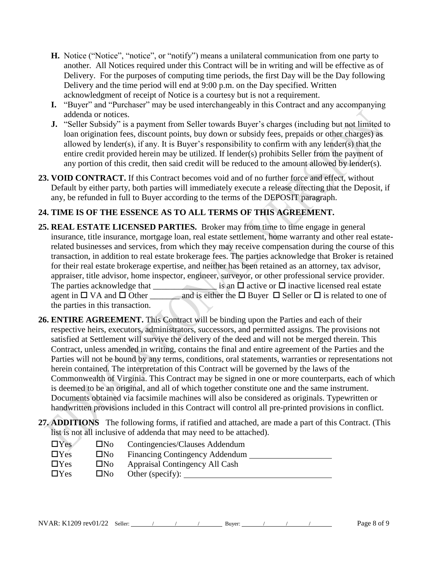- **H.** Notice ("Notice", "notice", or "notify") means a unilateral communication from one party to another. All Notices required under this Contract will be in writing and will be effective as of Delivery. For the purposes of computing time periods, the first Day will be the Day following Delivery and the time period will end at 9:00 p.m. on the Day specified. Written acknowledgment of receipt of Notice is a courtesy but is not a requirement.
- **I.** "Buyer" and "Purchaser" may be used interchangeably in this Contract and any accompanying addenda or notices.
- **J.** "Seller Subsidy" is a payment from Seller towards Buyer's charges (including but not limited to loan origination fees, discount points, buy down or subsidy fees, prepaids or other charges) as allowed by lender(s), if any. It is Buyer's responsibility to confirm with any lender(s) that the entire credit provided herein may be utilized. If lender(s) prohibits Seller from the payment of any portion of this credit, then said credit will be reduced to the amount allowed by lender(s).
- **23. VOID CONTRACT.** If this Contract becomes void and of no further force and effect, without Default by either party, both parties will immediately execute a release directing that the Deposit, if any, be refunded in full to Buyer according to the terms of the DEPOSIT paragraph.

# **24. TIME IS OF THE ESSENCE AS TO ALL TERMS OF THIS AGREEMENT.**

- **25. REAL ESTATE LICENSED PARTIES.** Broker may from time to time engage in general insurance, title insurance, mortgage loan, real estate settlement, home warranty and other real estaterelated businesses and services, from which they may receive compensation during the course of this transaction, in addition to real estate brokerage fees. The parties acknowledge that Broker is retained for their real estate brokerage expertise, and neither has been retained as an attorney, tax advisor, appraiser, title advisor, home inspector, engineer, surveyor, or other professional service provider. The parties acknowledge that  $\Box$  is an  $\Box$  active or  $\Box$  inactive licensed real estate agent in  $\Box$  VA and  $\Box$  Other \_\_\_\_\_\_\_ and is either the  $\Box$  Buyer  $\Box$  Seller or  $\Box$  is related to one of the parties in this transaction.
- **26. ENTIRE AGREEMENT.** This Contract will be binding upon the Parties and each of their respective heirs, executors, administrators, successors, and permitted assigns. The provisions not satisfied at Settlement will survive the delivery of the deed and will not be merged therein. This Contract, unless amended in writing, contains the final and entire agreement of the Parties and the Parties will not be bound by any terms, conditions, oral statements, warranties or representations not herein contained. The interpretation of this Contract will be governed by the laws of the Commonwealth of Virginia. This Contract may be signed in one or more counterparts, each of which is deemed to be an original, and all of which together constitute one and the same instrument. Documents obtained via facsimile machines will also be considered as originals. Typewritten or handwritten provisions included in this Contract will control all pre-printed provisions in conflict.
- **27. ADDITIONS** The following forms, if ratified and attached, are made a part of this Contract. (This list is not all inclusive of addenda that may need to be attached).

| $\Box$ Yes | $\Box$ No | Contingencies/Clauses Addendum        |
|------------|-----------|---------------------------------------|
| $\Box$ Yes | $\Box$ No | <b>Financing Contingency Addendum</b> |
| $\Box$ Yes | $\Box$ No | Appraisal Contingency All Cash        |
| $\Box$ Yes | $\Box$ No | Other (specify):                      |
|            |           |                                       |